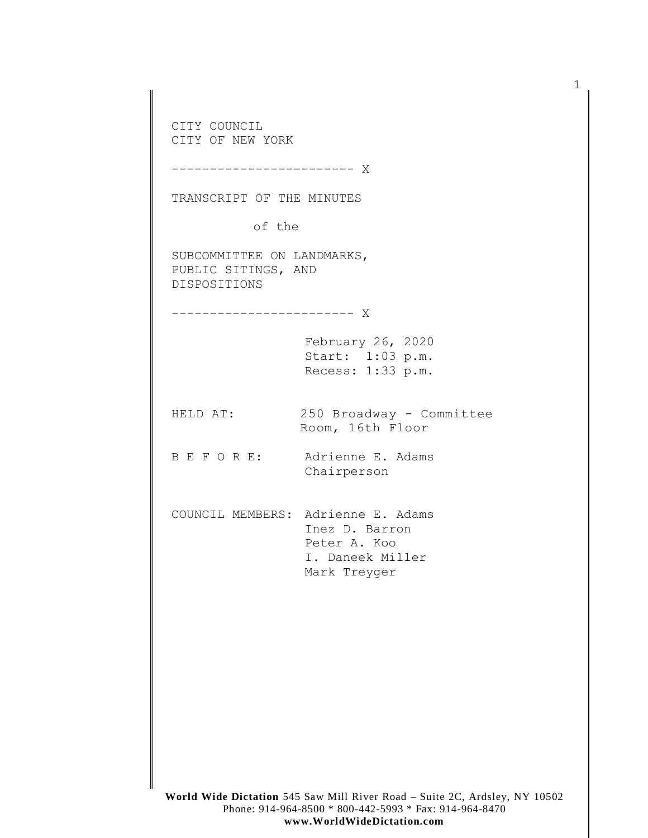CITY COUNCIL CITY OF NEW YORK

------------------------ X

TRANSCRIPT OF THE MINUTES

of the

SUBCOMMITTEE ON LANDMARKS, PUBLIC SITINGS, AND DISPOSITIONS

------------------------ X

February 26, 2020 Start: 1:03 p.m. Recess: 1:33 p.m.

HELD AT: 250 Broadway - Committee Room, 16th Floor

B E F O R E: Adrienne E. Adams Chairperson

COUNCIL MEMBERS: Adrienne E. Adams Inez D. Barron Peter A. Koo I. Daneek Miller Mark Treyger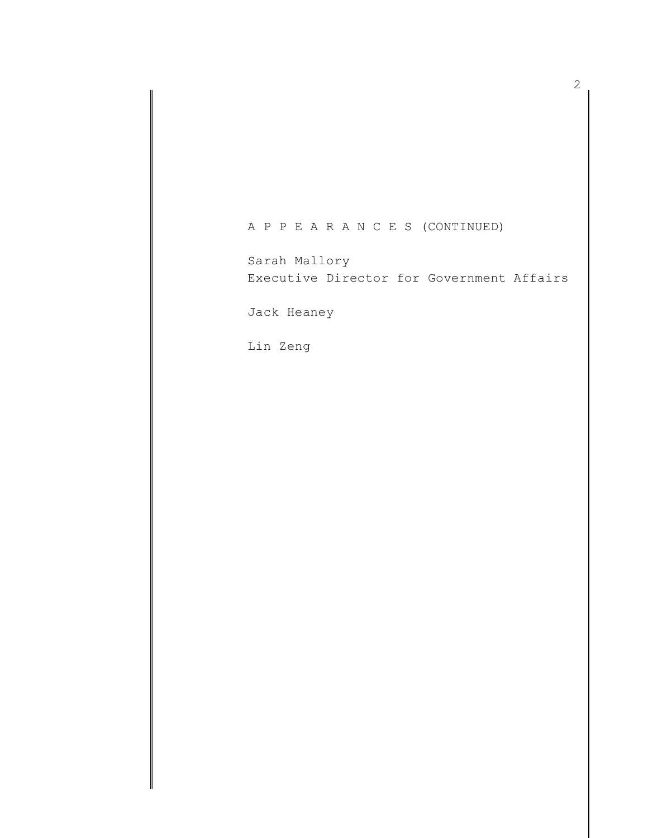A P P E A R A N C E S (CONTINUED)

Sarah Mallory Executive Director for Government Affairs

Jack Heaney

Lin Zeng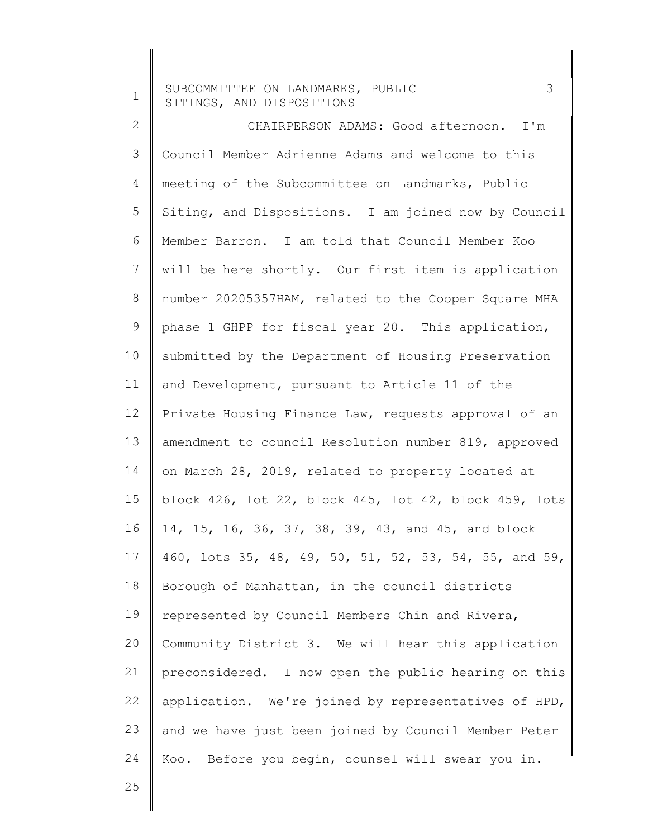1 SUBCOMMITTEE ON LANDMARKS, PUBLIC 3 SITINGS, AND DISPOSITIONS

2 3 4 5 6 7 8 9 10 11 12 13 14 15 16 17 18 19 20 21 22 23 24 meeting of the Subcommittee on Landmarks, Public CHAIRPERSON ADAMS: Good afternoon. I'm Council Member Adrienne Adams and welcome to this Siting, and Dispositions. I am joined now by Council Member Barron. I am told that Council Member Koo will be here shortly. Our first item is application number 20205357HAM, related to the Cooper Square MHA phase 1 GHPP for fiscal year 20. This application, submitted by the Department of Housing Preservation and Development, pursuant to Article 11 of the Private Housing Finance Law, requests approval of an amendment to council Resolution number 819, approved on March 28, 2019, related to property located at block 426, lot 22, block 445, lot 42, block 459, lots 14, 15, 16, 36, 37, 38, 39, 43, and 45, and block 460, lots 35, 48, 49, 50, 51, 52, 53, 54, 55, and 59, Borough of Manhattan, in the council districts represented by Council Members Chin and Rivera, Community District 3. We will hear this application preconsidered. I now open the public hearing on this application. We're joined by representatives of HPD, and we have just been joined by Council Member Peter Koo. Before you begin, counsel will swear you in.

25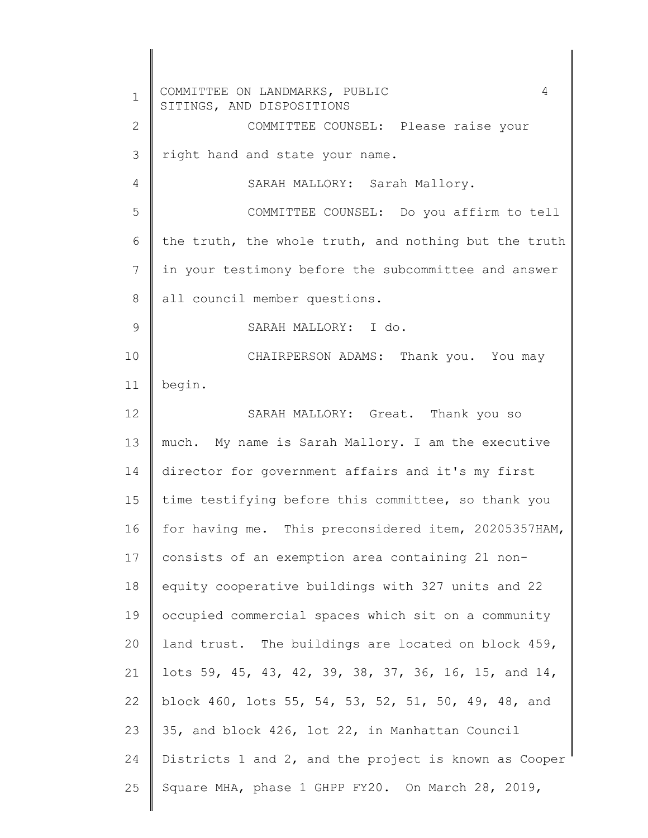1 2 3 4 5 6 7 8 9 10 11 12 13 14 15 16 17 18 19 20 21 22 23 24 25 COMMITTEE ON LANDMARKS, PUBLIC 4 SITINGS, AND DISPOSITIONS COMMITTEE COUNSEL: Please raise your right hand and state your name. SARAH MALLORY: Sarah Mallory. COMMITTEE COUNSEL: Do you affirm to tell the truth, the whole truth, and nothing but the truth in your testimony before the subcommittee and answer all council member questions. SARAH MALLORY: I do. CHAIRPERSON ADAMS: Thank you. You may begin. SARAH MALLORY: Great. Thank you so much. My name is Sarah Mallory. I am the executive director for government affairs and it's my first time testifying before this committee, so thank you for having me. This preconsidered item, 20205357HAM, consists of an exemption area containing 21 nonequity cooperative buildings with 327 units and 22 occupied commercial spaces which sit on a community land trust. The buildings are located on block 459, lots 59, 45, 43, 42, 39, 38, 37, 36, 16, 15, and 14, block 460, lots 55, 54, 53, 52, 51, 50, 49, 48, and 35, and block 426, lot 22, in Manhattan Council Districts 1 and 2, and the project is known as Cooper Square MHA, phase 1 GHPP FY20. On March 28, 2019,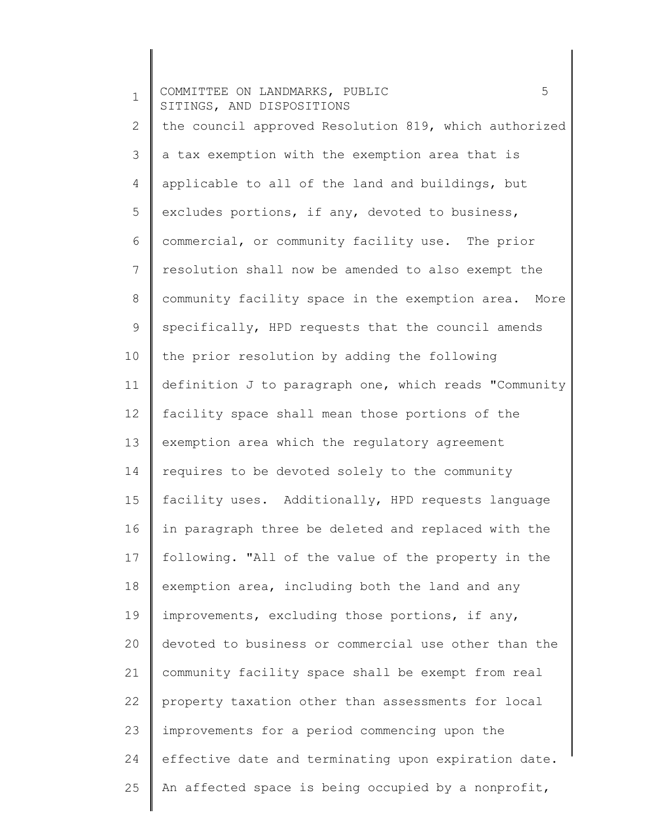1 2 3 4 5 6 7 8 9 10 11 12 13 14 15 16 17 18 19 20 21 22 23 24 25 COMMITTEE ON LANDMARKS, PUBLIC 3 SITINGS, AND DISPOSITIONS the council approved Resolution 819, which authorized a tax exemption with the exemption area that is applicable to all of the land and buildings, but excludes portions, if any, devoted to business, commercial, or community facility use. The prior resolution shall now be amended to also exempt the community facility space in the exemption area. More specifically, HPD requests that the council amends the prior resolution by adding the following definition J to paragraph one, which reads "Community facility space shall mean those portions of the exemption area which the regulatory agreement requires to be devoted solely to the community facility uses. Additionally, HPD requests language in paragraph three be deleted and replaced with the following. "All of the value of the property in the exemption area, including both the land and any improvements, excluding those portions, if any, devoted to business or commercial use other than the community facility space shall be exempt from real property taxation other than assessments for local improvements for a period commencing upon the effective date and terminating upon expiration date. An affected space is being occupied by a nonprofit,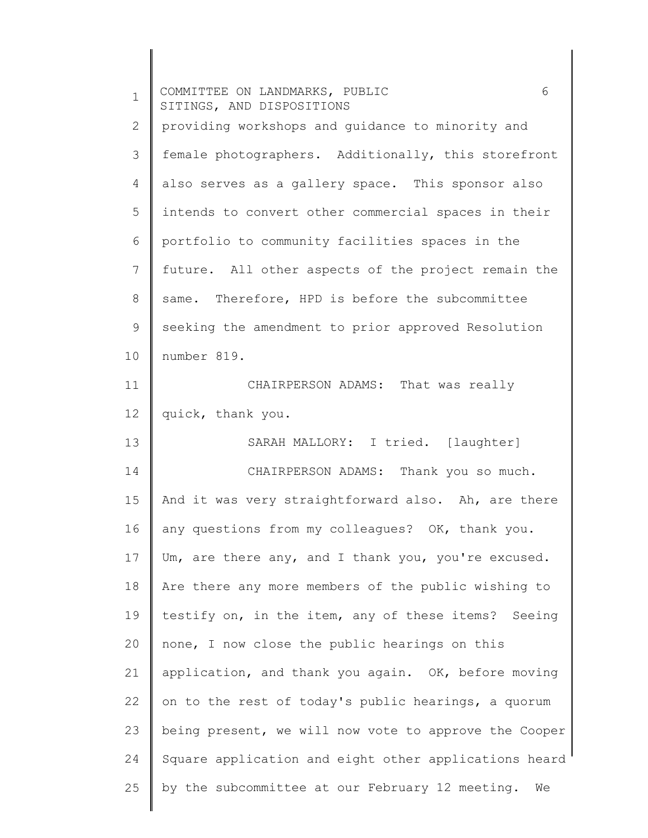| $\mathbf 1$ | 6<br>COMMITTEE ON LANDMARKS, PUBLIC<br>SITINGS, AND DISPOSITIONS |
|-------------|------------------------------------------------------------------|
| 2           | providing workshops and guidance to minority and                 |
| 3           | female photographers. Additionally, this storefront              |
| 4           | also serves as a gallery space. This sponsor also                |
| 5           | intends to convert other commercial spaces in their              |
| 6           | portfolio to community facilities spaces in the                  |
| 7           | future. All other aspects of the project remain the              |
| 8           | same. Therefore, HPD is before the subcommittee                  |
| 9           | seeking the amendment to prior approved Resolution               |
| 10          | number 819.                                                      |
| 11          | CHAIRPERSON ADAMS: That was really                               |
| 12          | quick, thank you.                                                |
| 13          | SARAH MALLORY: I tried. [laughter]                               |
| 14          | CHAIRPERSON ADAMS: Thank you so much.                            |
| 15          | And it was very straightforward also. Ah, are there              |
| 16          | any questions from my colleagues? OK, thank you.                 |
| 17          | Um, are there any, and I thank you, you're excused.              |
| 18          | Are there any more members of the public wishing to              |
| 19          | testify on, in the item, any of these items? Seeing              |
| 20          | none, I now close the public hearings on this                    |
| 21          | application, and thank you again. OK, before moving              |
| 22          | on to the rest of today's public hearings, a quorum              |
| 23          | being present, we will now vote to approve the Cooper            |
| 24          | Square application and eight other applications heard            |
| 25          | by the subcommittee at our February 12 meeting. We               |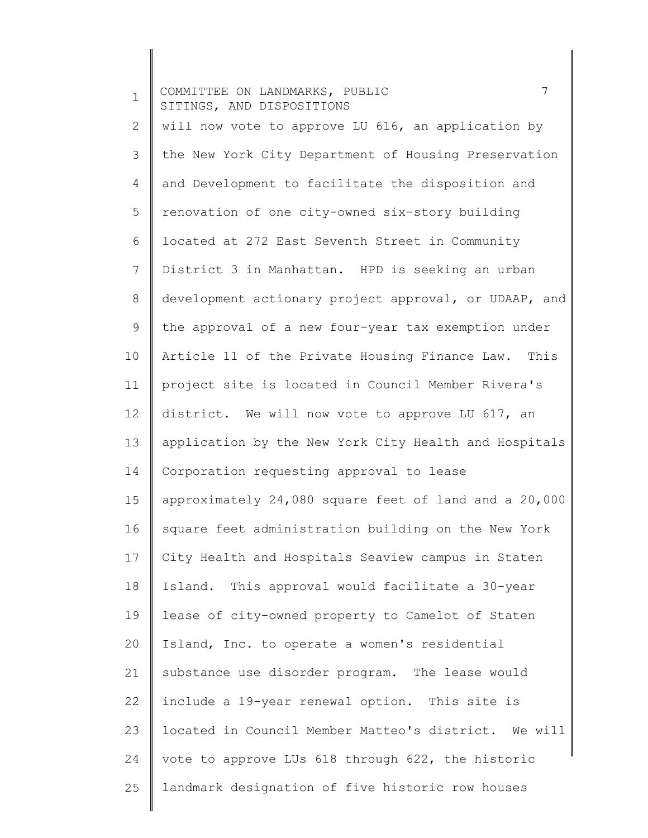| $\mathbf 1$ | COMMITTEE ON LANDMARKS, PUBLIC<br>7<br>SITINGS, AND DISPOSITIONS |
|-------------|------------------------------------------------------------------|
| 2           | will now vote to approve LU 616, an application by               |
| 3           | the New York City Department of Housing Preservation             |
| 4           | and Development to facilitate the disposition and                |
| 5           | renovation of one city-owned six-story building                  |
| 6           | located at 272 East Seventh Street in Community                  |
| 7           | District 3 in Manhattan. HPD is seeking an urban                 |
| 8           | development actionary project approval, or UDAAP, and            |
| 9           | the approval of a new four-year tax exemption under              |
| 10          | Article 11 of the Private Housing Finance Law. This              |
| 11          | project site is located in Council Member Rivera's               |
| 12          | district. We will now vote to approve LU 617, an                 |
| 13          | application by the New York City Health and Hospitals            |
| 14          | Corporation requesting approval to lease                         |
| 15          | approximately 24,080 square feet of land and a 20,000            |
| 16          | square feet administration building on the New York              |
| 17          | City Health and Hospitals Seaview campus in Staten               |
| 18          | Island. This approval would facilitate a 30-year                 |
| 19          | lease of city-owned property to Camelot of Staten                |
| 20          | Island, Inc. to operate a women's residential                    |
| 21          | substance use disorder program. The lease would                  |
| 22          | include a 19-year renewal option. This site is                   |
| 23          | located in Council Member Matteo's district. We will             |
| 24          | vote to approve LUs 618 through 622, the historic                |
| 25          | landmark designation of five historic row houses                 |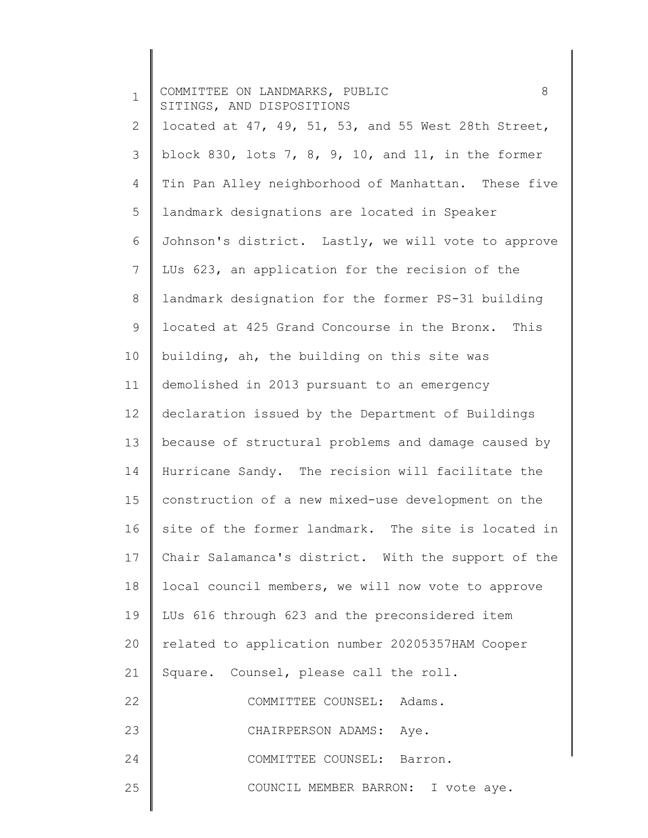| $\mathbf 1$    | 8<br>COMMITTEE ON LANDMARKS, PUBLIC<br>SITINGS, AND DISPOSITIONS |
|----------------|------------------------------------------------------------------|
| $\mathbf{2}$   | located at 47, 49, 51, 53, and 55 West 28th Street,              |
| 3              | block 830, lots 7, 8, 9, 10, and 11, in the former               |
| $\overline{4}$ | Tin Pan Alley neighborhood of Manhattan. These five              |
| 5              | landmark designations are located in Speaker                     |
| 6              | Johnson's district. Lastly, we will vote to approve              |
| 7              | LUs 623, an application for the recision of the                  |
| $\,8\,$        | landmark designation for the former PS-31 building               |
| $\mathsf 9$    | located at 425 Grand Concourse in the Bronx. This                |
| 10             | building, ah, the building on this site was                      |
| 11             | demolished in 2013 pursuant to an emergency                      |
| 12             | declaration issued by the Department of Buildings                |
| 13             | because of structural problems and damage caused by              |
| 14             | Hurricane Sandy. The recision will facilitate the                |
| 15             | construction of a new mixed-use development on the               |
| 16             | site of the former landmark. The site is located in              |
| 17             | Chair Salamanca's district. With the support of the              |
| 18             | local council members, we will now vote to approve               |
| 19             | LUs 616 through 623 and the preconsidered item                   |
| 20             | related to application number 20205357HAM Cooper                 |
| 21             | Square. Counsel, please call the roll.                           |
| 22             | COMMITTEE COUNSEL:<br>Adams.                                     |
| 23             | CHAIRPERSON ADAMS:<br>Aye.                                       |
| 24             | COMMITTEE COUNSEL: Barron.                                       |
| 25             | COUNCIL MEMBER BARRON: I vote aye.                               |
|                |                                                                  |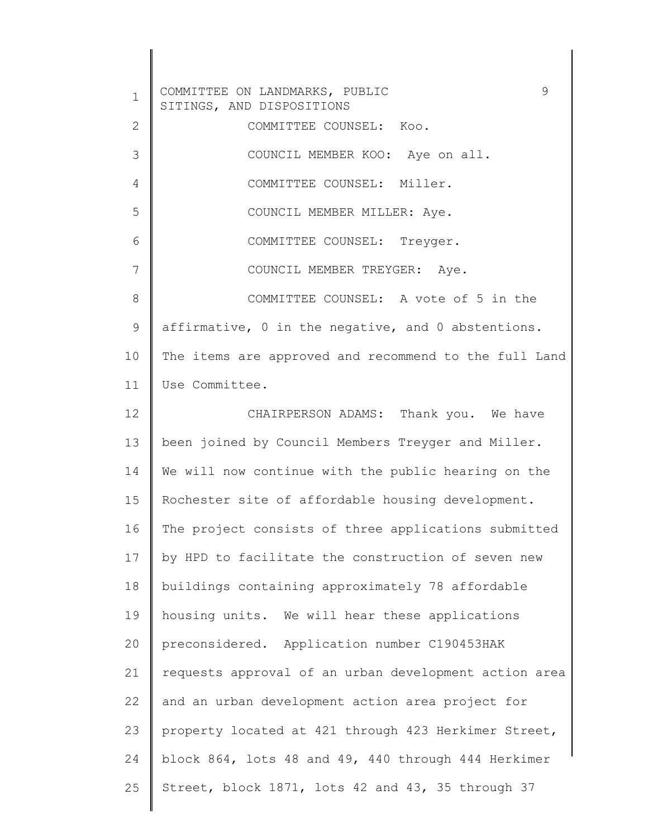1 2 3 4 5 6 7 8 9 10 11 12 13 14 15 16 17 18 19 20 21 22 23 24 25 COMMITTEE ON LANDMARKS, PUBLIC 9 SITINGS, AND DISPOSITIONS COMMITTEE COUNSEL: Koo. COUNCIL MEMBER KOO: Aye on all. COMMITTEE COUNSEL: Miller. COUNCIL MEMBER MILLER: Aye. COMMITTEE COUNSEL: Treyger. COUNCIL MEMBER TREYGER: Aye. COMMITTEE COUNSEL: A vote of 5 in the affirmative, 0 in the negative, and 0 abstentions. The items are approved and recommend to the full Land Use Committee. CHAIRPERSON ADAMS: Thank you. We have been joined by Council Members Treyger and Miller. We will now continue with the public hearing on the Rochester site of affordable housing development. The project consists of three applications submitted by HPD to facilitate the construction of seven new buildings containing approximately 78 affordable housing units. We will hear these applications preconsidered. Application number C190453HAK requests approval of an urban development action area and an urban development action area project for property located at 421 through 423 Herkimer Street, block 864, lots 48 and 49, 440 through 444 Herkimer Street, block 1871, lots 42 and 43, 35 through 37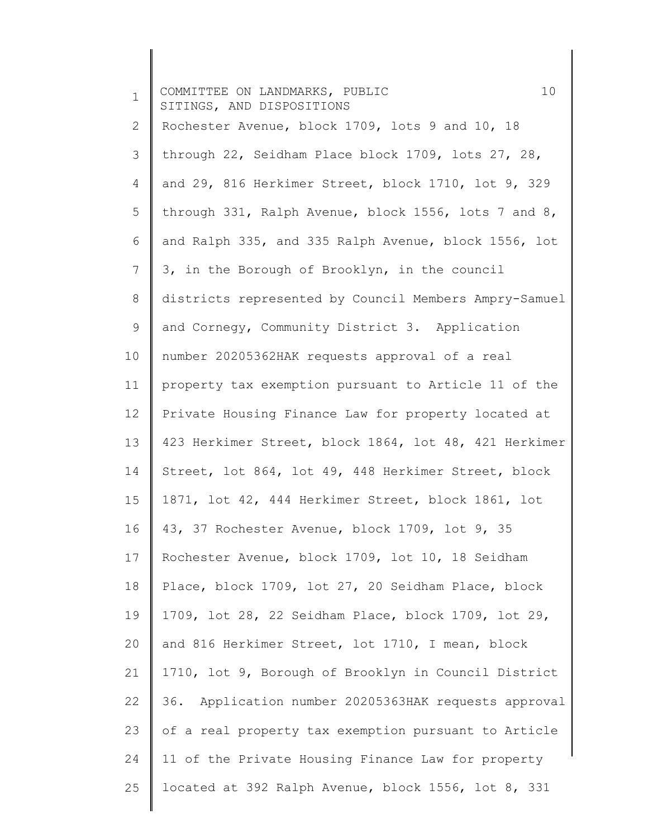| $\mathbf 1$ | 10<br>COMMITTEE ON LANDMARKS, PUBLIC<br>SITINGS, AND DISPOSITIONS |
|-------------|-------------------------------------------------------------------|
| 2           | Rochester Avenue, block 1709, lots 9 and 10, 18                   |
| 3           | through 22, Seidham Place block 1709, lots 27, 28,                |
| 4           | and 29, 816 Herkimer Street, block 1710, lot 9, 329               |
| 5           | through 331, Ralph Avenue, block 1556, lots 7 and 8,              |
| 6           | and Ralph 335, and 335 Ralph Avenue, block 1556, lot              |
| 7           | 3, in the Borough of Brooklyn, in the council                     |
| 8           | districts represented by Council Members Ampry-Samuel             |
| 9           | and Cornegy, Community District 3. Application                    |
| 10          | number 20205362HAK requests approval of a real                    |
| 11          | property tax exemption pursuant to Article 11 of the              |
| 12          | Private Housing Finance Law for property located at               |
| 13          | 423 Herkimer Street, block 1864, lot 48, 421 Herkimer             |
| 14          | Street, lot 864, lot 49, 448 Herkimer Street, block               |
| 15          | 1871, lot 42, 444 Herkimer Street, block 1861, lot                |
| 16          | 43, 37 Rochester Avenue, block 1709, lot 9, 35                    |
| 17          | Rochester Avenue, block 1709, lot 10, 18 Seidham                  |
| 18          | Place, block 1709, lot 27, 20 Seidham Place, block                |
| 19          | 1709, lot 28, 22 Seidham Place, block 1709, lot 29,               |
| 20          | and 816 Herkimer Street, lot 1710, I mean, block                  |
| 21          | 1710, lot 9, Borough of Brooklyn in Council District              |
| 22          | 36. Application number 20205363HAK requests approval              |
| 23          | of a real property tax exemption pursuant to Article              |
| 24          | 11 of the Private Housing Finance Law for property                |
| 25          | located at 392 Ralph Avenue, block 1556, lot 8, 331               |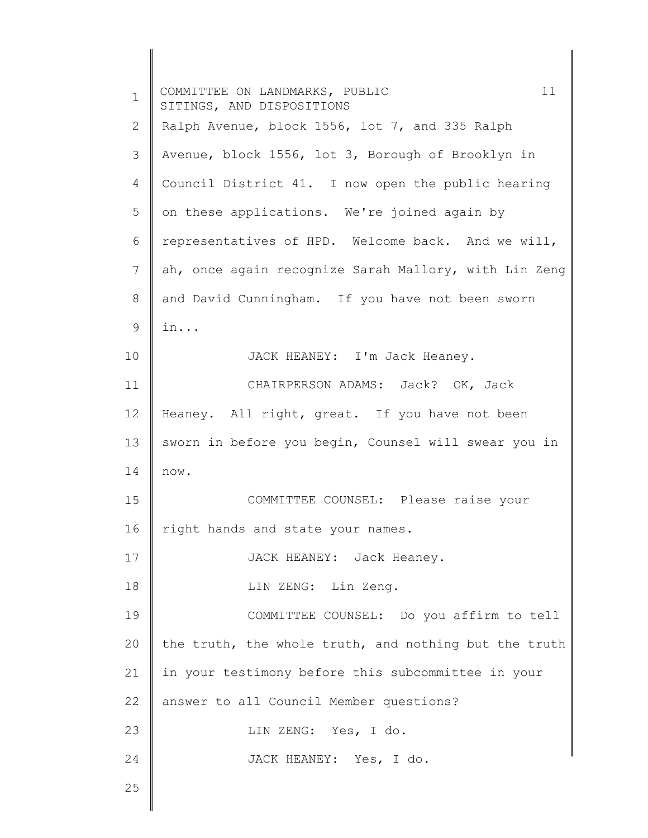| $\mathbf 1$ | 11<br>COMMITTEE ON LANDMARKS, PUBLIC<br>SITINGS, AND DISPOSITIONS |
|-------------|-------------------------------------------------------------------|
| 2           | Ralph Avenue, block 1556, lot 7, and 335 Ralph                    |
| 3           | Avenue, block 1556, lot 3, Borough of Brooklyn in                 |
| 4           | Council District 41. I now open the public hearing                |
| 5           | on these applications. We're joined again by                      |
| 6           | representatives of HPD. Welcome back. And we will,                |
| 7           | ah, once again recognize Sarah Mallory, with Lin Zeng             |
| 8           | and David Cunningham. If you have not been sworn                  |
| 9           | in                                                                |
| 10          | JACK HEANEY: I'm Jack Heaney.                                     |
| 11          | CHAIRPERSON ADAMS: Jack? OK, Jack                                 |
| 12          | Heaney. All right, great. If you have not been                    |
| 13          | sworn in before you begin, Counsel will swear you in              |
| 14          | now.                                                              |
| 15          | COMMITTEE COUNSEL: Please raise your                              |
| 16          | right hands and state your names.                                 |
| 17          | JACK HEANEY: Jack Heaney.                                         |
| 18          | LIN ZENG: Lin Zeng.                                               |
| 19          | COMMITTEE COUNSEL: Do you affirm to tell                          |
| 20          | the truth, the whole truth, and nothing but the truth             |
| 21          | in your testimony before this subcommittee in your                |
| 22          | answer to all Council Member questions?                           |
| 23          | LIN ZENG: Yes, I do.                                              |
| 24          | JACK HEANEY: Yes, I do.                                           |
| 25          |                                                                   |
|             |                                                                   |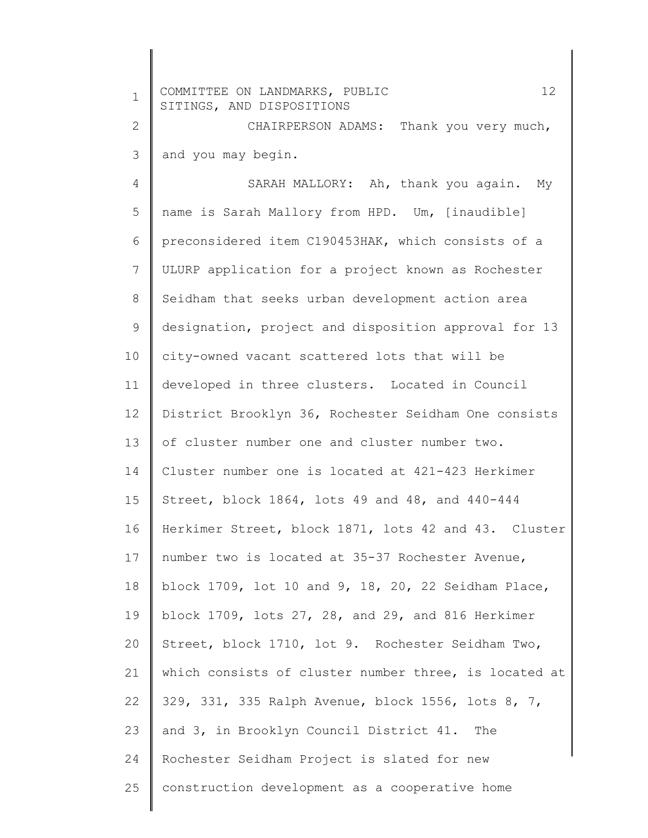| $\mathbf{1}$ | 12<br>COMMITTEE ON LANDMARKS, PUBLIC<br>SITINGS, AND DISPOSITIONS |
|--------------|-------------------------------------------------------------------|
| $\mathbf{2}$ | CHAIRPERSON ADAMS: Thank you very much,                           |
| 3            | and you may begin.                                                |
| 4            | SARAH MALLORY: Ah, thank you again. My                            |
| 5            | name is Sarah Mallory from HPD. Um, [inaudible]                   |
| 6            | preconsidered item C190453HAK, which consists of a                |
| 7            | ULURP application for a project known as Rochester                |
| 8            | Seidham that seeks urban development action area                  |
| 9            | designation, project and disposition approval for 13              |
| 10           | city-owned vacant scattered lots that will be                     |
| 11           | developed in three clusters. Located in Council                   |
| 12           | District Brooklyn 36, Rochester Seidham One consists              |
| 13           | of cluster number one and cluster number two.                     |
| 14           | Cluster number one is located at 421-423 Herkimer                 |
| 15           | Street, block 1864, lots 49 and 48, and 440-444                   |
| 16           | Herkimer Street, block 1871, lots 42 and 43. Cluster              |
| 17           | number two is located at 35-37 Rochester Avenue,                  |
| 18           | block 1709, lot 10 and 9, 18, 20, 22 Seidham Place,               |
| 19           | block 1709, lots 27, 28, and 29, and 816 Herkimer                 |
| 20           | Street, block 1710, lot 9. Rochester Seidham Two,                 |
| 21           | which consists of cluster number three, is located at             |
| 22           | 329, 331, 335 Ralph Avenue, block 1556, lots 8, 7,                |
| 23           | and 3, in Brooklyn Council District 41. The                       |
| 24           | Rochester Seidham Project is slated for new                       |
| 25           | construction development as a cooperative home                    |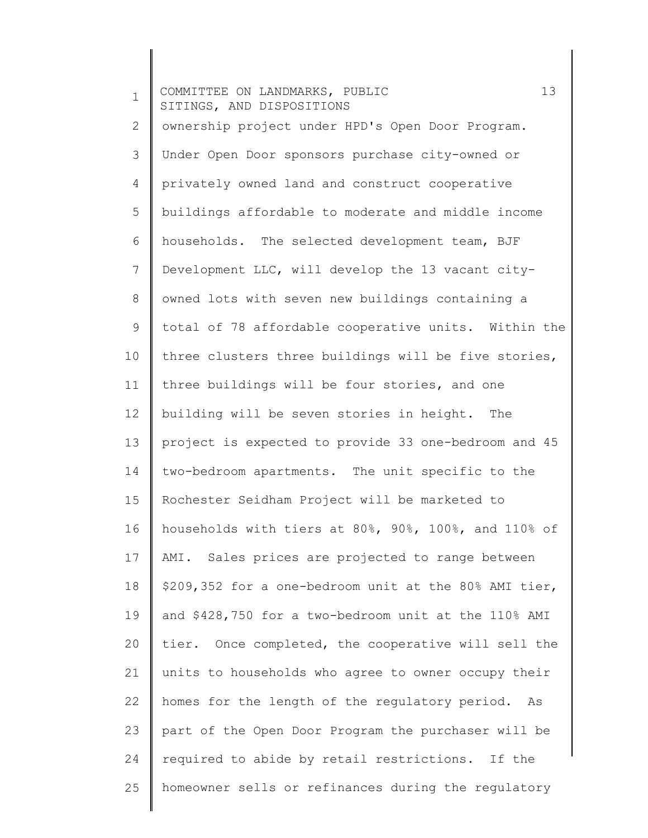1 2 3 4 5 6 7 8 9 10 11 12 13 14 15 16 17 18 19 20 21 22 23 24 25 COMMITTEE ON LANDMARKS, PUBLIC 13 SITINGS, AND DISPOSITIONS ownership project under HPD's Open Door Program. Under Open Door sponsors purchase city-owned or privately owned land and construct cooperative buildings affordable to moderate and middle income households. The selected development team, BJF Development LLC, will develop the 13 vacant cityowned lots with seven new buildings containing a total of 78 affordable cooperative units. Within the three clusters three buildings will be five stories, three buildings will be four stories, and one building will be seven stories in height. The project is expected to provide 33 one-bedroom and 45 two-bedroom apartments. The unit specific to the Rochester Seidham Project will be marketed to households with tiers at 80%, 90%, 100%, and 110% of AMI. Sales prices are projected to range between \$209,352 for a one-bedroom unit at the 80% AMI tier, and \$428,750 for a two-bedroom unit at the 110% AMI tier. Once completed, the cooperative will sell the units to households who agree to owner occupy their homes for the length of the regulatory period. As part of the Open Door Program the purchaser will be required to abide by retail restrictions. If the homeowner sells or refinances during the regulatory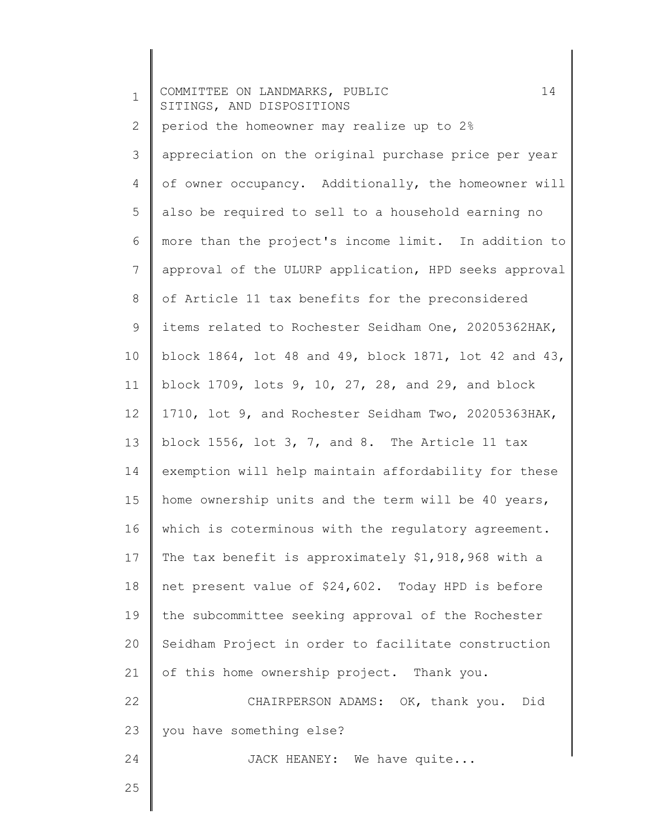| $\mathbf 1$  | 14<br>COMMITTEE ON LANDMARKS, PUBLIC<br>SITINGS, AND DISPOSITIONS |
|--------------|-------------------------------------------------------------------|
| $\mathbf{2}$ | period the homeowner may realize up to 2%                         |
| 3            | appreciation on the original purchase price per year              |
| 4            | of owner occupancy. Additionally, the homeowner will              |
| 5            | also be required to sell to a household earning no                |
| 6            | more than the project's income limit. In addition to              |
| 7            | approval of the ULURP application, HPD seeks approval             |
| $8\,$        | of Article 11 tax benefits for the preconsidered                  |
| 9            | items related to Rochester Seidham One, 20205362HAK,              |
| 10           | block 1864, lot 48 and 49, block 1871, lot 42 and 43,             |
| 11           | block 1709, lots 9, 10, 27, 28, and 29, and block                 |
| 12           | 1710, lot 9, and Rochester Seidham Two, 20205363HAK,              |
| 13           | block 1556, lot 3, 7, and 8. The Article 11 tax                   |
| 14           | exemption will help maintain affordability for these              |
| 15           | home ownership units and the term will be 40 years,               |
| 16           | which is coterminous with the regulatory agreement.               |
| 17           | The tax benefit is approximately \$1,918,968 with a               |
| 18           | net present value of \$24,602. Today HPD is before                |
| 19           | the subcommittee seeking approval of the Rochester                |
| 20           | Seidham Project in order to facilitate construction               |
| 21           | of this home ownership project. Thank you.                        |
| 22           | CHAIRPERSON ADAMS: OK, thank you. Did                             |
| 23           | you have something else?                                          |
| 24           | JACK HEANEY: We have quite                                        |
| 25           |                                                                   |
|              |                                                                   |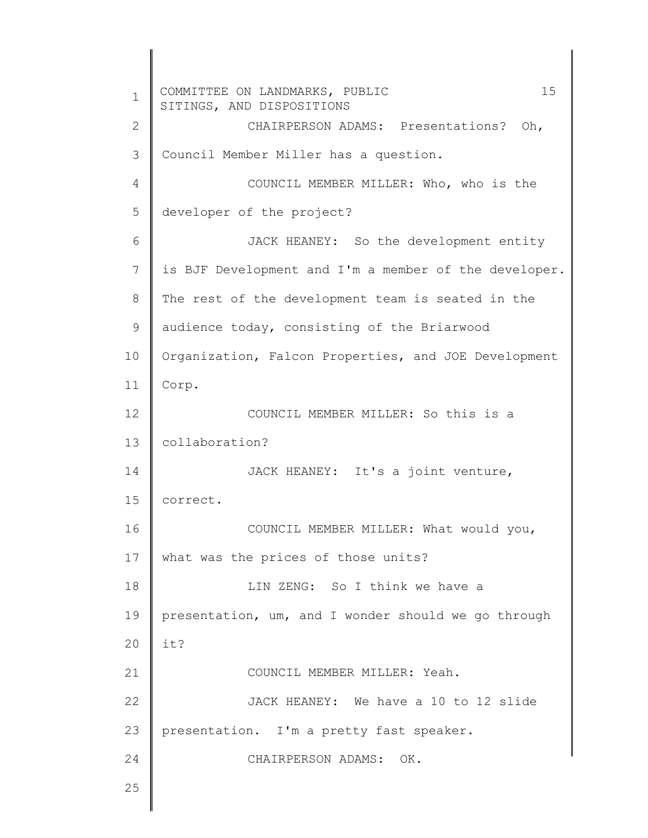1 2 3 4 5 6 7 8 9 10 11 12 13 14 15 16 17 18 19 20 21 22 23 24 25 COMMITTEE ON LANDMARKS, PUBLIC 15 SITINGS, AND DISPOSITIONS CHAIRPERSON ADAMS: Presentations? Oh, Council Member Miller has a question. COUNCIL MEMBER MILLER: Who, who is the developer of the project? JACK HEANEY: So the development entity is BJF Development and I'm a member of the developer. The rest of the development team is seated in the audience today, consisting of the Briarwood Organization, Falcon Properties, and JOE Development Corp. COUNCIL MEMBER MILLER: So this is a collaboration? JACK HEANEY: It's a joint venture, correct. COUNCIL MEMBER MILLER: What would you, what was the prices of those units? LIN ZENG: So I think we have a presentation, um, and I wonder should we go through it? COUNCIL MEMBER MILLER: Yeah. JACK HEANEY: We have a 10 to 12 slide presentation. I'm a pretty fast speaker. CHAIRPERSON ADAMS: OK.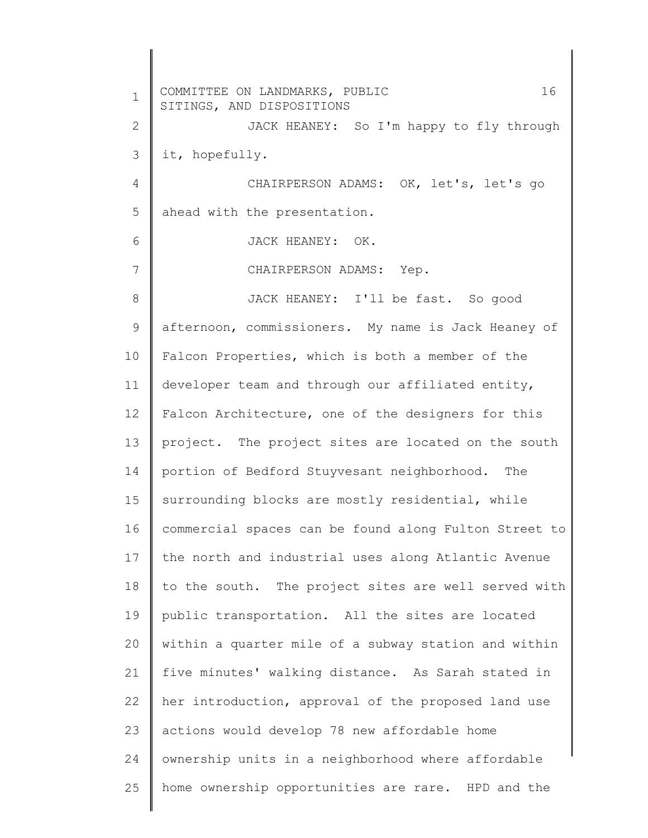1 2 3 4 5 6 7 8 9 10 11 12 13 14 15 16 17 18 19 20 21 22 23 24 25 COMMITTEE ON LANDMARKS, PUBLIC 16 SITINGS, AND DISPOSITIONS JACK HEANEY: So I'm happy to fly through it, hopefully. CHAIRPERSON ADAMS: OK, let's, let's go ahead with the presentation. JACK HEANEY: OK. CHAIRPERSON ADAMS: Yep. JACK HEANEY: I'll be fast. So good afternoon, commissioners. My name is Jack Heaney of Falcon Properties, which is both a member of the developer team and through our affiliated entity, Falcon Architecture, one of the designers for this project. The project sites are located on the south portion of Bedford Stuyvesant neighborhood. The surrounding blocks are mostly residential, while commercial spaces can be found along Fulton Street to the north and industrial uses along Atlantic Avenue to the south. The project sites are well served with public transportation. All the sites are located within a quarter mile of a subway station and within five minutes' walking distance. As Sarah stated in her introduction, approval of the proposed land use actions would develop 78 new affordable home ownership units in a neighborhood where affordable home ownership opportunities are rare. HPD and the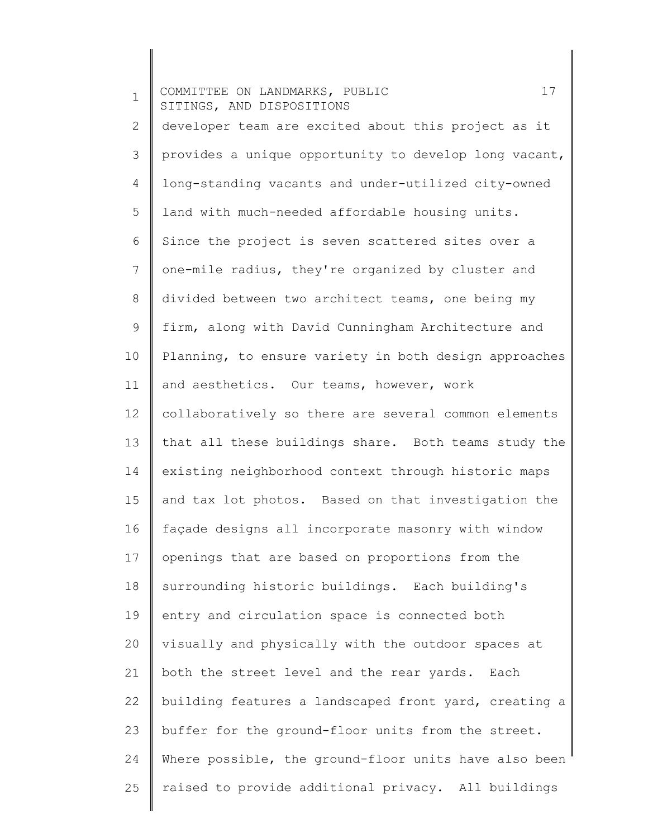1 2 3 4 5 6 7 8 9 10 11 12 13 14 15 16 17 18 19 20 21 22 23 24 25 COMMITTEE ON LANDMARKS, PUBLIC 17 SITINGS, AND DISPOSITIONS developer team are excited about this project as it provides a unique opportunity to develop long vacant, long-standing vacants and under-utilized city-owned land with much-needed affordable housing units. Since the project is seven scattered sites over a one-mile radius, they're organized by cluster and divided between two architect teams, one being my firm, along with David Cunningham Architecture and Planning, to ensure variety in both design approaches and aesthetics. Our teams, however, work collaboratively so there are several common elements that all these buildings share. Both teams study the existing neighborhood context through historic maps and tax lot photos. Based on that investigation the façade designs all incorporate masonry with window openings that are based on proportions from the surrounding historic buildings. Each building's entry and circulation space is connected both visually and physically with the outdoor spaces at both the street level and the rear yards. Each building features a landscaped front yard, creating a buffer for the ground-floor units from the street. Where possible, the ground-floor units have also been raised to provide additional privacy. All buildings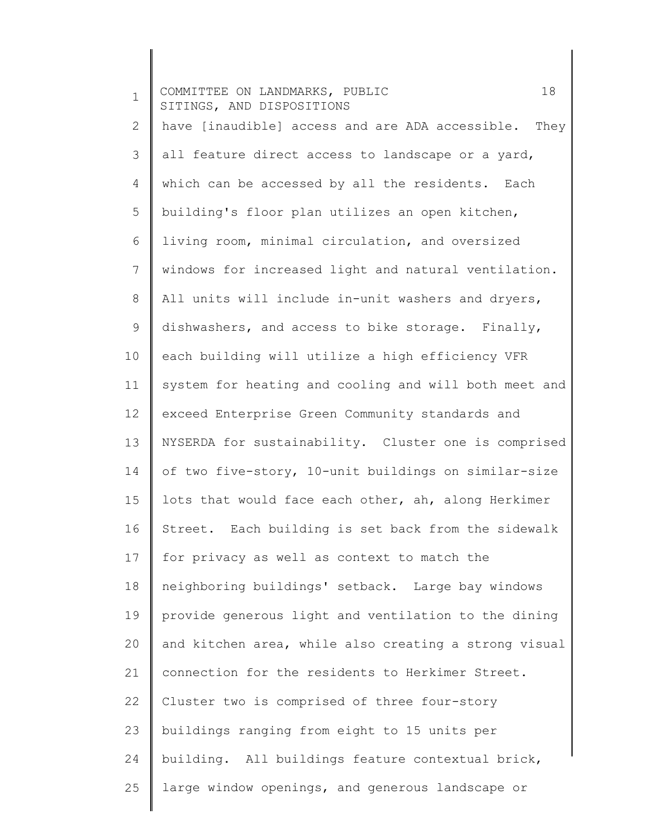1 2 3 4 5 6 7 8 9 10 11 12 13 14 15 16 17 18 19 20 21 22 23 24 25 COMMITTEE ON LANDMARKS, PUBLIC 18 SITINGS, AND DISPOSITIONS have [inaudible] access and are ADA accessible. They all feature direct access to landscape or a yard, which can be accessed by all the residents. Each building's floor plan utilizes an open kitchen, living room, minimal circulation, and oversized windows for increased light and natural ventilation. All units will include in-unit washers and dryers, dishwashers, and access to bike storage. Finally, each building will utilize a high efficiency VFR system for heating and cooling and will both meet and exceed Enterprise Green Community standards and NYSERDA for sustainability. Cluster one is comprised of two five-story, 10-unit buildings on similar-size lots that would face each other, ah, along Herkimer Street. Each building is set back from the sidewalk for privacy as well as context to match the neighboring buildings' setback. Large bay windows provide generous light and ventilation to the dining and kitchen area, while also creating a strong visual connection for the residents to Herkimer Street. Cluster two is comprised of three four-story buildings ranging from eight to 15 units per building. All buildings feature contextual brick, large window openings, and generous landscape or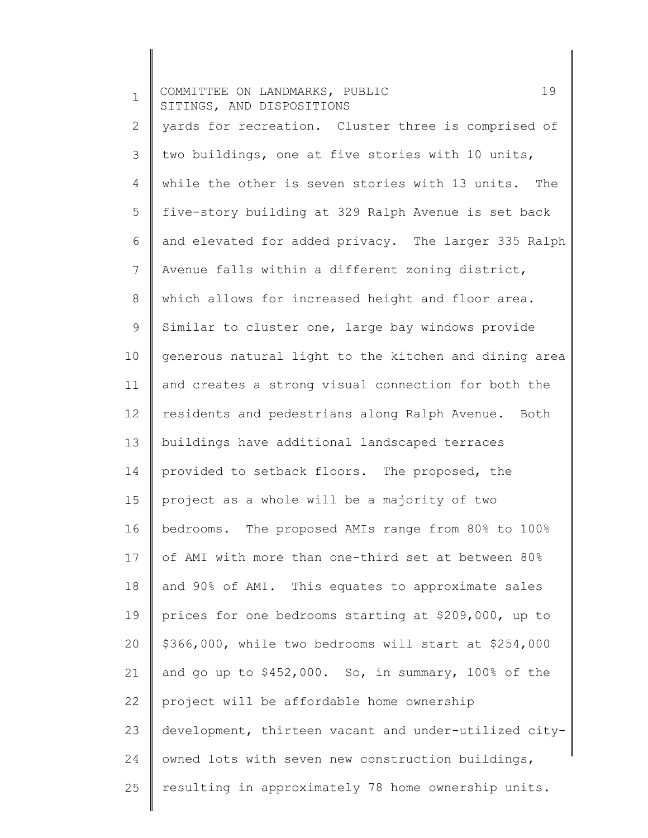1 2 3 4 5 6 7 8 9 10 11 12 13 14 15 16 17 18 19 20 21 22 23 24 25 COMMITTEE ON LANDMARKS, PUBLIC 19 SITINGS, AND DISPOSITIONS yards for recreation. Cluster three is comprised of two buildings, one at five stories with 10 units, while the other is seven stories with 13 units. The five-story building at 329 Ralph Avenue is set back and elevated for added privacy. The larger 335 Ralph Avenue falls within a different zoning district, which allows for increased height and floor area. Similar to cluster one, large bay windows provide generous natural light to the kitchen and dining area and creates a strong visual connection for both the residents and pedestrians along Ralph Avenue. Both buildings have additional landscaped terraces provided to setback floors. The proposed, the project as a whole will be a majority of two bedrooms. The proposed AMIs range from 80% to 100% of AMI with more than one-third set at between 80% and 90% of AMI. This equates to approximate sales prices for one bedrooms starting at \$209,000, up to \$366,000, while two bedrooms will start at \$254,000 and go up to  $$452,000$ . So, in summary, 100% of the project will be affordable home ownership development, thirteen vacant and under-utilized cityowned lots with seven new construction buildings, resulting in approximately 78 home ownership units.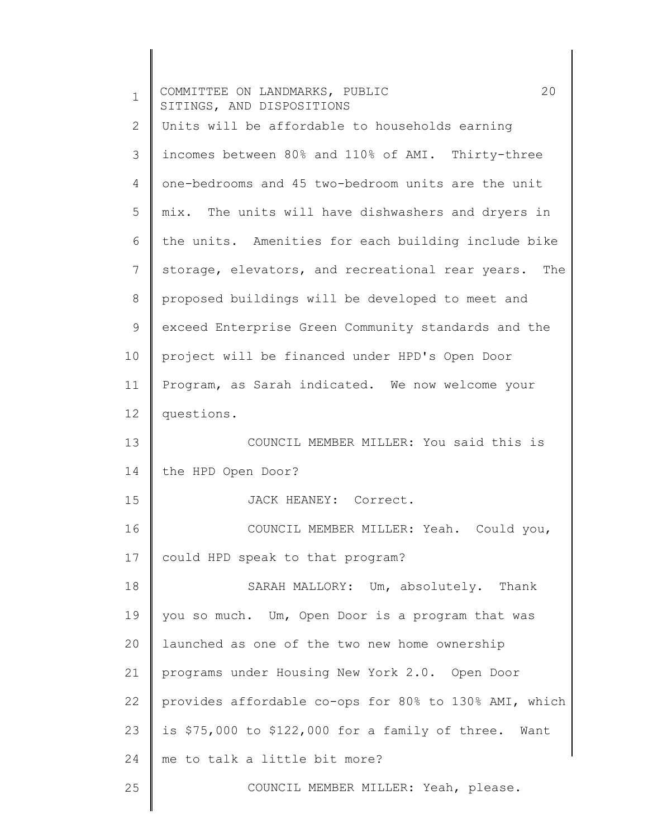| 20<br>COMMITTEE ON LANDMARKS, PUBLIC<br>SITINGS, AND DISPOSITIONS |
|-------------------------------------------------------------------|
| Units will be affordable to households earning                    |
| incomes between 80% and 110% of AMI. Thirty-three                 |
| one-bedrooms and 45 two-bedroom units are the unit                |
| mix. The units will have dishwashers and dryers in                |
| the units. Amenities for each building include bike               |
| storage, elevators, and recreational rear years. The              |
| proposed buildings will be developed to meet and                  |
| exceed Enterprise Green Community standards and the               |
| project will be financed under HPD's Open Door                    |
| Program, as Sarah indicated. We now welcome your                  |
| questions.                                                        |
| COUNCIL MEMBER MILLER: You said this is                           |
| the HPD Open Door?                                                |
| JACK HEANEY: Correct.                                             |
| COUNCIL MEMBER MILLER: Yeah. Could you,                           |
| could HPD speak to that program?                                  |
| SARAH MALLORY: Um, absolutely. Thank                              |
| you so much. Um, Open Door is a program that was                  |
| launched as one of the two new home ownership                     |
| programs under Housing New York 2.0. Open Door                    |
| provides affordable co-ops for 80% to 130% AMI, which             |
| is \$75,000 to \$122,000 for a family of three. Want              |
| me to talk a little bit more?                                     |
| COUNCIL MEMBER MILLER: Yeah, please.                              |
|                                                                   |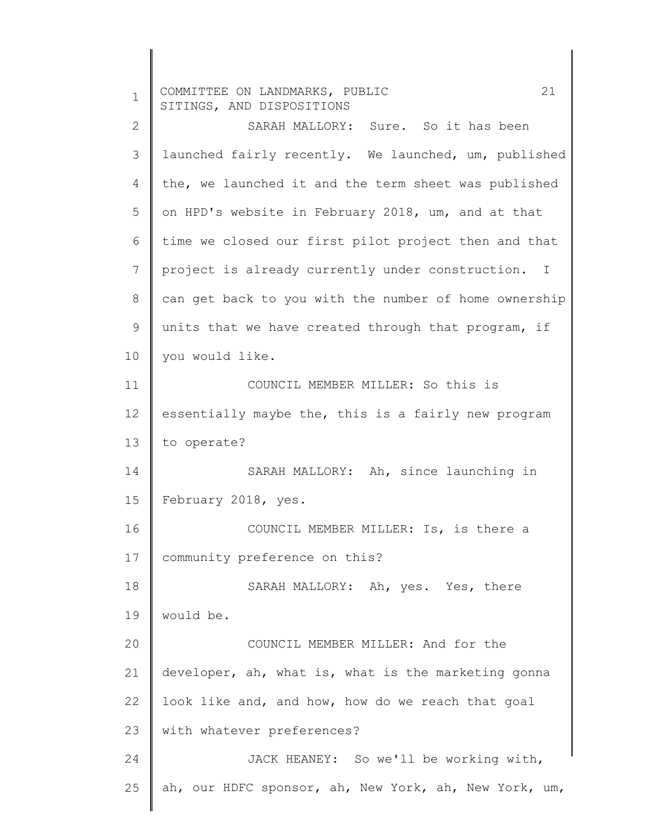| $\mathbf{1}$ | 21<br>COMMITTEE ON LANDMARKS, PUBLIC<br>SITINGS, AND DISPOSITIONS |
|--------------|-------------------------------------------------------------------|
| $\mathbf{2}$ | SARAH MALLORY: Sure. So it has been                               |
| 3            | launched fairly recently. We launched, um, published              |
| 4            | the, we launched it and the term sheet was published              |
| 5            | on HPD's website in February 2018, um, and at that                |
| 6            | time we closed our first pilot project then and that              |
| 7            | project is already currently under construction. I                |
| 8            | can get back to you with the number of home ownership             |
| 9            | units that we have created through that program, if               |
| 10           | you would like.                                                   |
| 11           | COUNCIL MEMBER MILLER: So this is                                 |
| 12           | essentially maybe the, this is a fairly new program               |
| 13           | to operate?                                                       |
| 14           | SARAH MALLORY: Ah, since launching in                             |
| 15           | February 2018, yes.                                               |
| 16           | COUNCIL MEMBER MILLER: Is, is there a                             |
| 17           | community preference on this?                                     |
| 18           | SARAH MALLORY: Ah, yes. Yes, there                                |
| 19           | would be.                                                         |
| 20           | COUNCIL MEMBER MILLER: And for the                                |
| 21           | developer, ah, what is, what is the marketing gonna               |
| 22           | look like and, and how, how do we reach that goal                 |
| 23           | with whatever preferences?                                        |
| 24           | JACK HEANEY: So we'll be working with,                            |
| 25           | ah, our HDFC sponsor, ah, New York, ah, New York, um,             |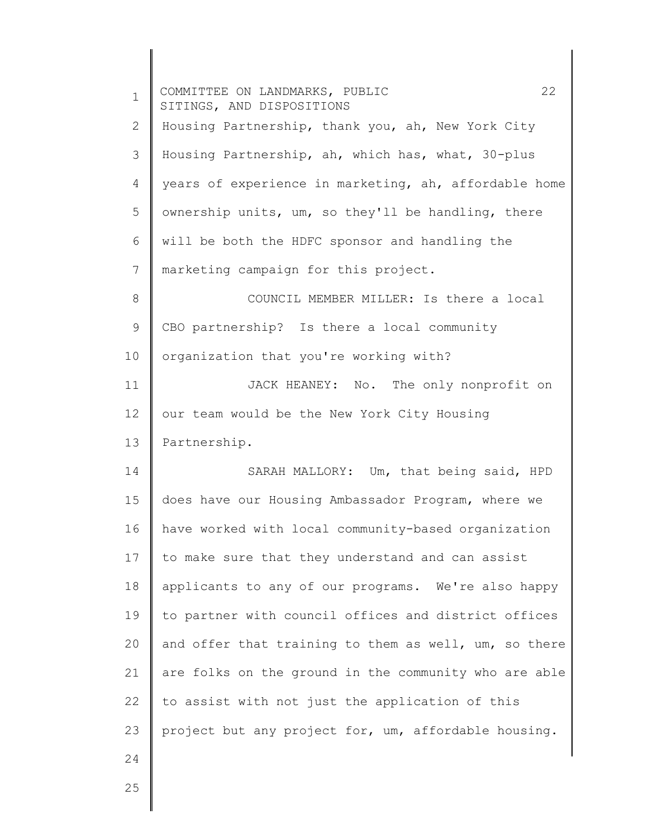| $\mathbf{1}$   | 22<br>COMMITTEE ON LANDMARKS, PUBLIC<br>SITINGS, AND DISPOSITIONS |
|----------------|-------------------------------------------------------------------|
| $\mathbf{2}$   | Housing Partnership, thank you, ah, New York City                 |
| 3              | Housing Partnership, ah, which has, what, 30-plus                 |
| $\overline{4}$ | years of experience in marketing, ah, affordable home             |
| 5              | ownership units, um, so they'll be handling, there                |
| 6              | will be both the HDFC sponsor and handling the                    |
| 7              | marketing campaign for this project.                              |
| 8              | COUNCIL MEMBER MILLER: Is there a local                           |
| 9              | CBO partnership? Is there a local community                       |
| 10             | organization that you're working with?                            |
| 11             | JACK HEANEY: No. The only nonprofit on                            |
| 12             | our team would be the New York City Housing                       |
| 13             | Partnership.                                                      |
| 14             | SARAH MALLORY: Um, that being said, HPD                           |
| 15             | does have our Housing Ambassador Program, where we                |
| 16             | have worked with local community-based organization               |
| 17             | to make sure that they understand and can assist                  |
| 18             | applicants to any of our programs. We're also happy               |
| 19             | to partner with council offices and district offices              |
| 20             | and offer that training to them as well, um, so there             |
| 21             | are folks on the ground in the community who are able             |
| 22             | to assist with not just the application of this                   |
| 23             | project but any project for, um, affordable housing.              |
| 24             |                                                                   |
| 25             |                                                                   |
|                |                                                                   |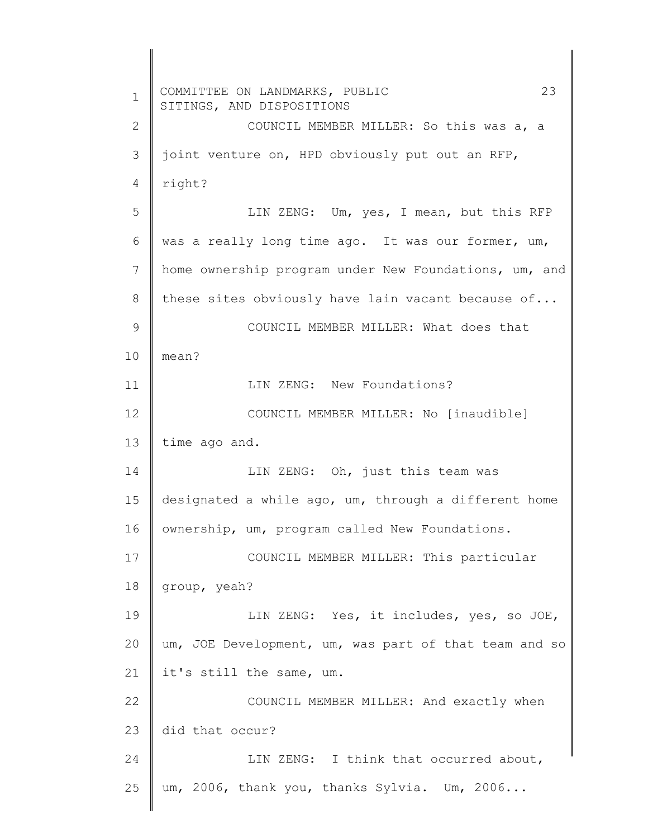1 2 3 4 5 6 7 8 9 10 11 12 13 14 15 16 17 18 19 20 21 22 23 24 25 COMMITTEE ON LANDMARKS, PUBLIC 23 SITINGS, AND DISPOSITIONS COUNCIL MEMBER MILLER: So this was a, a joint venture on, HPD obviously put out an RFP, right? LIN ZENG: Um, yes, I mean, but this RFP was a really long time ago. It was our former, um, home ownership program under New Foundations, um, and these sites obviously have lain vacant because of... COUNCIL MEMBER MILLER: What does that mean? LIN ZENG: New Foundations? COUNCIL MEMBER MILLER: No [inaudible] time ago and. LIN ZENG: Oh, just this team was designated a while ago, um, through a different home ownership, um, program called New Foundations. COUNCIL MEMBER MILLER: This particular group, yeah? LIN ZENG: Yes, it includes, yes, so JOE, um, JOE Development, um, was part of that team and so it's still the same, um. COUNCIL MEMBER MILLER: And exactly when did that occur? LIN ZENG: I think that occurred about, um, 2006, thank you, thanks Sylvia. Um, 2006...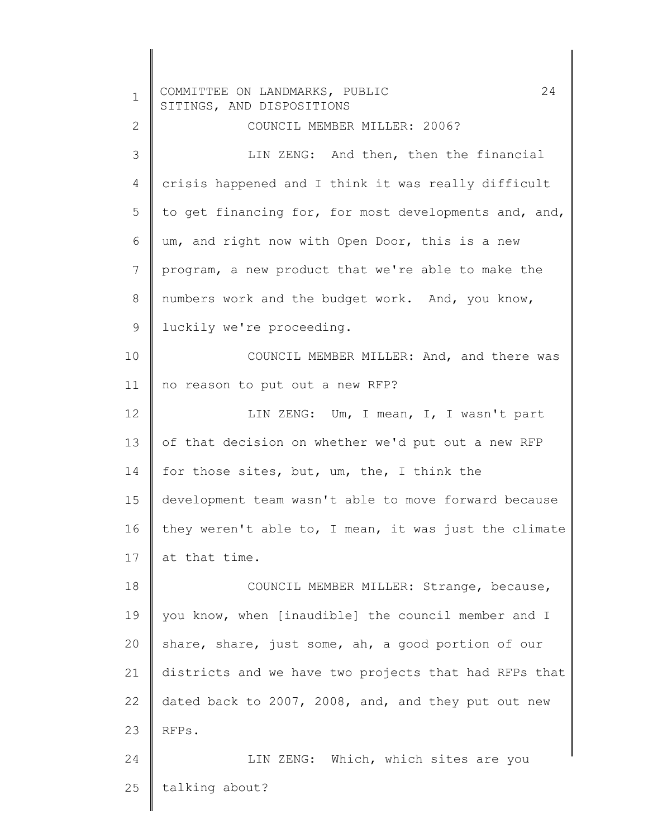1 2 3 4 5 6 7 8 9 10 11 12 13 14 15 16 17 18 19 20 21 22 23 24 25 COMMITTEE ON LANDMARKS, PUBLIC 24 SITINGS, AND DISPOSITIONS COUNCIL MEMBER MILLER: 2006? LIN ZENG: And then, then the financial crisis happened and I think it was really difficult to get financing for, for most developments and, and, um, and right now with Open Door, this is a new program, a new product that we're able to make the numbers work and the budget work. And, you know, luckily we're proceeding. COUNCIL MEMBER MILLER: And, and there was no reason to put out a new RFP? LIN ZENG: Um, I mean, I, I wasn't part of that decision on whether we'd put out a new RFP for those sites, but, um, the, I think the development team wasn't able to move forward because they weren't able to, I mean, it was just the climate at that time. COUNCIL MEMBER MILLER: Strange, because, you know, when [inaudible] the council member and I share, share, just some, ah, a good portion of our districts and we have two projects that had RFPs that dated back to 2007, 2008, and, and they put out new RFPs. LIN ZENG: Which, which sites are you talking about?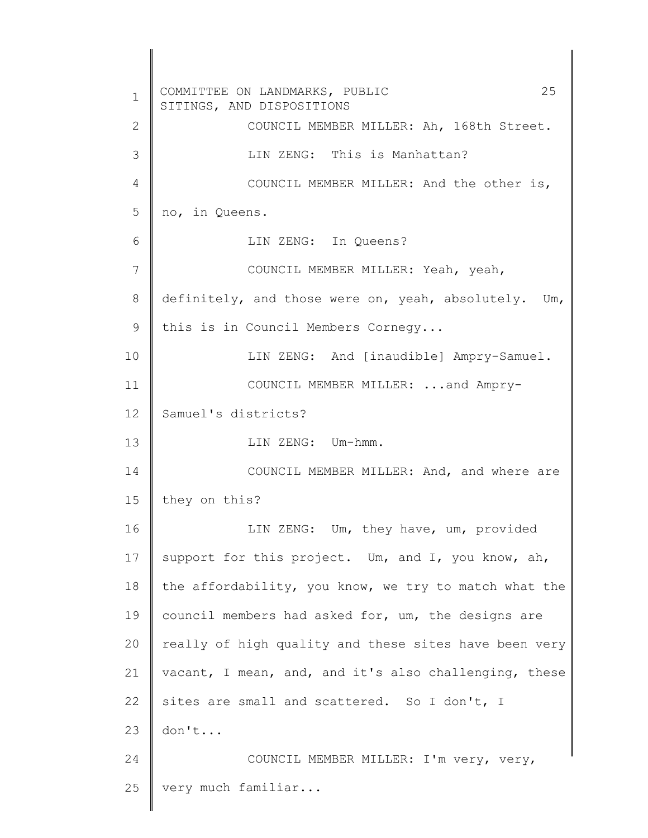1 2 3 4 5 6 7 8 9 10 11 12 13 14 15 16 17 18 19 20 21 22 23 24 25 COMMITTEE ON LANDMARKS, PUBLIC 25 SITINGS, AND DISPOSITIONS COUNCIL MEMBER MILLER: Ah, 168th Street. LIN ZENG: This is Manhattan? COUNCIL MEMBER MILLER: And the other is, no, in Queens. LIN ZENG: In Queens? COUNCIL MEMBER MILLER: Yeah, yeah, definitely, and those were on, yeah, absolutely. Um, this is in Council Members Cornegy... LIN ZENG: And [inaudible] Ampry-Samuel. COUNCIL MEMBER MILLER: ...and Ampry-Samuel's districts? LIN ZENG: Um-hmm. COUNCIL MEMBER MILLER: And, and where are they on this? LIN ZENG: Um, they have, um, provided support for this project. Um, and I, you know, ah, the affordability, you know, we try to match what the council members had asked for, um, the designs are really of high quality and these sites have been very vacant, I mean, and, and it's also challenging, these sites are small and scattered. So I don't, I don't... COUNCIL MEMBER MILLER: I'm very, very, very much familiar...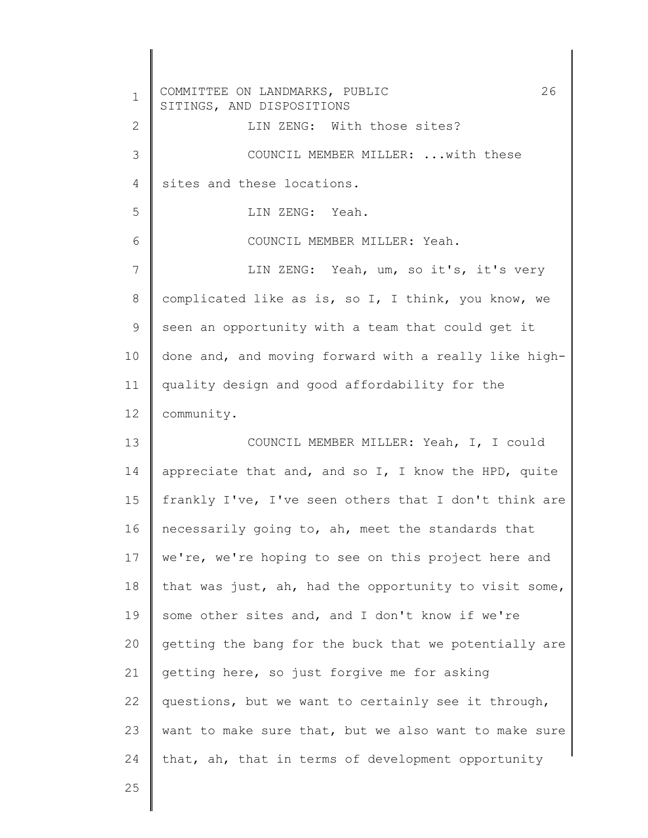1 2 3 4 5 6 7 8 9 10 11 12 13 14 15 16 17 18 19 20 21 22 23 24 COMMITTEE ON LANDMARKS, PUBLIC 26 SITINGS, AND DISPOSITIONS LIN ZENG: With those sites? COUNCIL MEMBER MILLER: ...with these sites and these locations. LIN ZENG: Yeah. COUNCIL MEMBER MILLER: Yeah. LIN ZENG: Yeah, um, so it's, it's very complicated like as is, so I, I think, you know, we seen an opportunity with a team that could get it done and, and moving forward with a really like highquality design and good affordability for the community. COUNCIL MEMBER MILLER: Yeah, I, I could appreciate that and, and so I, I know the HPD, quite frankly I've, I've seen others that I don't think are necessarily going to, ah, meet the standards that we're, we're hoping to see on this project here and that was just, ah, had the opportunity to visit some, some other sites and, and I don't know if we're getting the bang for the buck that we potentially are getting here, so just forgive me for asking questions, but we want to certainly see it through, want to make sure that, but we also want to make sure that, ah, that in terms of development opportunity

25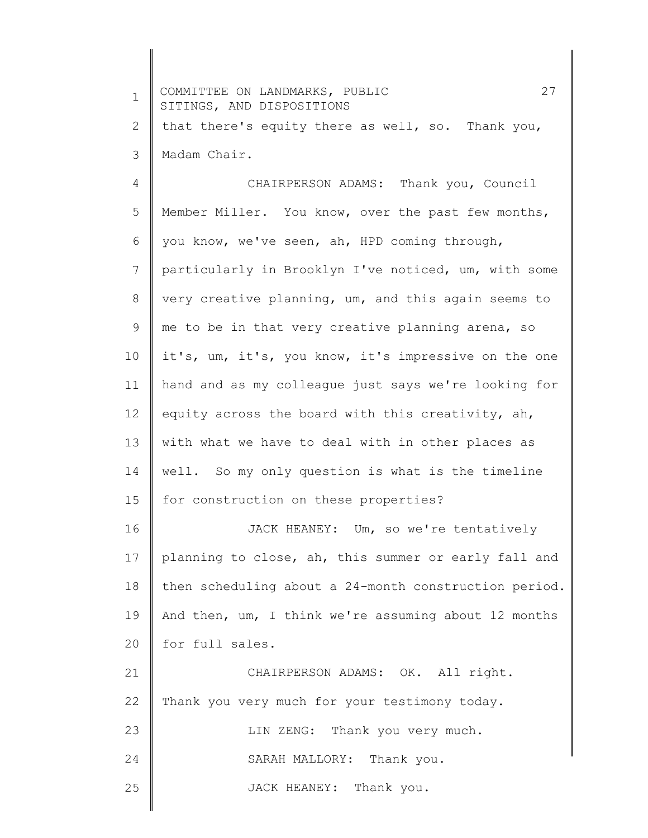| $\mathbf 1$ | 27<br>COMMITTEE ON LANDMARKS, PUBLIC<br>SITINGS, AND DISPOSITIONS |
|-------------|-------------------------------------------------------------------|
| 2           | that there's equity there as well, so. Thank you,                 |
| 3           | Madam Chair.                                                      |
| 4           | CHAIRPERSON ADAMS: Thank you, Council                             |
| 5           | Member Miller. You know, over the past few months,                |
| 6           | you know, we've seen, ah, HPD coming through,                     |
| 7           | particularly in Brooklyn I've noticed, um, with some              |
| 8           | very creative planning, um, and this again seems to               |
| 9           | me to be in that very creative planning arena, so                 |
| 10          | it's, um, it's, you know, it's impressive on the one              |
| 11          | hand and as my colleague just says we're looking for              |
| 12          | equity across the board with this creativity, ah,                 |
| 13          | with what we have to deal with in other places as                 |
| 14          | well. So my only question is what is the timeline                 |
| 15          | for construction on these properties?                             |
| 16          | JACK HEANEY: Um, so we're tentatively                             |
| 17          | planning to close, ah, this summer or early fall and              |
| 18          | then scheduling about a 24-month construction period.             |
| 19          | And then, um, I think we're assuming about 12 months              |
| 20          | for full sales.                                                   |
| 21          | CHAIRPERSON ADAMS: OK. All right.                                 |
| 22          | Thank you very much for your testimony today.                     |
| 23          | LIN ZENG: Thank you very much.                                    |
| 24          | SARAH MALLORY: Thank you.                                         |
| 25          | JACK HEANEY: Thank you.                                           |
|             |                                                                   |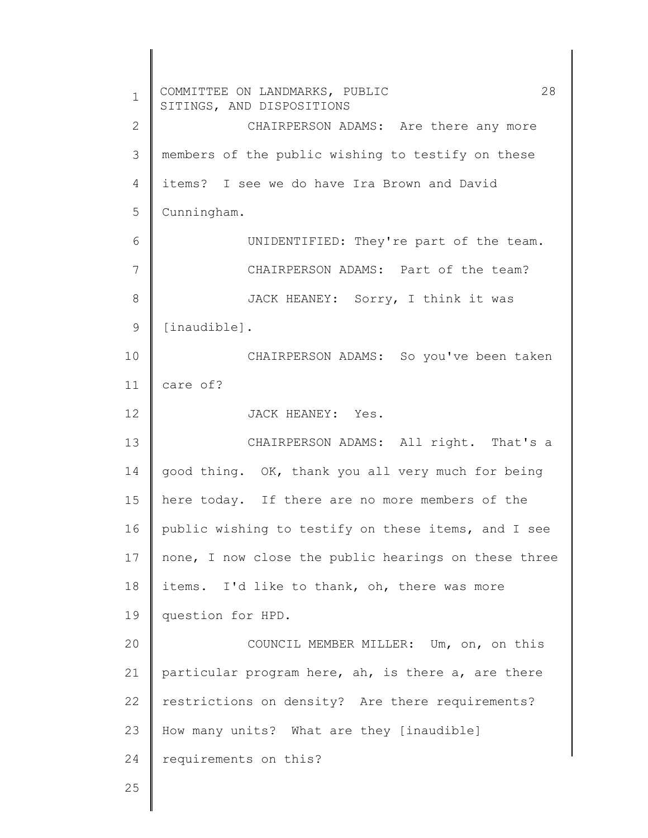| $\mathbf 1$  | 28<br>COMMITTEE ON LANDMARKS, PUBLIC<br>SITINGS, AND DISPOSITIONS |
|--------------|-------------------------------------------------------------------|
| $\mathbf{2}$ | CHAIRPERSON ADAMS: Are there any more                             |
| 3            | members of the public wishing to testify on these                 |
| 4            | items? I see we do have Ira Brown and David                       |
| 5            | Cunningham.                                                       |
| 6            | UNIDENTIFIED: They're part of the team.                           |
| 7            | CHAIRPERSON ADAMS: Part of the team?                              |
| 8            | JACK HEANEY: Sorry, I think it was                                |
| 9            | [inaudible].                                                      |
| 10           | CHAIRPERSON ADAMS: So you've been taken                           |
| 11           | care of?                                                          |
| 12           | JACK HEANEY: Yes.                                                 |
| 13           | CHAIRPERSON ADAMS: All right. That's a                            |
| 14           | good thing. OK, thank you all very much for being                 |
| 15           | here today. If there are no more members of the                   |
| 16           | public wishing to testify on these items, and I see               |
| 17           | none, I now close the public hearings on these three              |
| 18           | items. I'd like to thank, oh, there was more                      |
| 19           | question for HPD.                                                 |
| 20           | COUNCIL MEMBER MILLER: Um, on, on this                            |
| 21           | particular program here, ah, is there a, are there                |
| 22           | restrictions on density? Are there requirements?                  |
| 23           | How many units? What are they [inaudible]                         |
| 24           | requirements on this?                                             |
| 25           |                                                                   |
|              |                                                                   |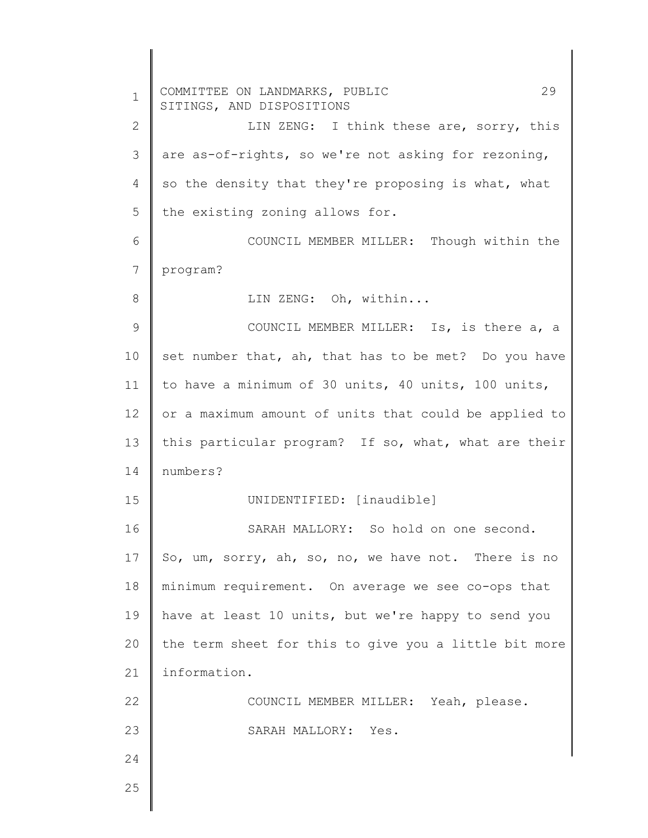1 2 3 4 5 6 7 8 9 10 11 12 13 14 15 16 17 18 19 20 21 22 23 24 25 COMMITTEE ON LANDMARKS, PUBLIC 29 SITINGS, AND DISPOSITIONS LIN ZENG: I think these are, sorry, this are as-of-rights, so we're not asking for rezoning, so the density that they're proposing is what, what the existing zoning allows for. COUNCIL MEMBER MILLER: Though within the program? LIN ZENG: Oh, within... COUNCIL MEMBER MILLER: Is, is there a, a set number that, ah, that has to be met? Do you have to have a minimum of 30 units, 40 units, 100 units, or a maximum amount of units that could be applied to this particular program? If so, what, what are their numbers? UNIDENTIFIED: [inaudible] SARAH MALLORY: So hold on one second. So, um, sorry, ah, so, no, we have not. There is no minimum requirement. On average we see co-ops that have at least 10 units, but we're happy to send you the term sheet for this to give you a little bit more information. COUNCIL MEMBER MILLER: Yeah, please. SARAH MALLORY: Yes.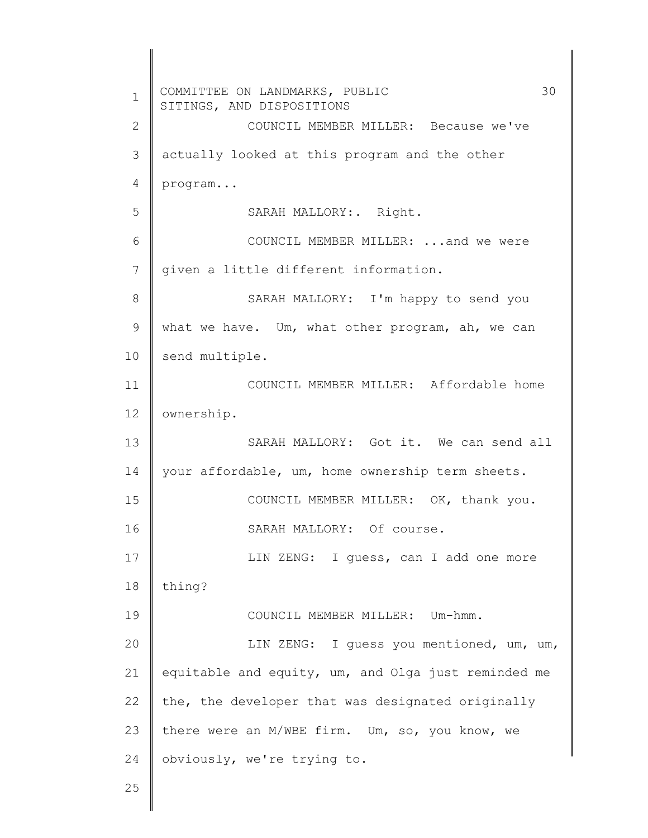1 2 3 4 5 6 7 8 9 10 11 12 13 14 15 16 17 18 19 20 21 22 23 24 25 COMMITTEE ON LANDMARKS, PUBLIC 30 SITINGS, AND DISPOSITIONS COUNCIL MEMBER MILLER: Because we've actually looked at this program and the other program... SARAH MALLORY:. Right. COUNCIL MEMBER MILLER: ...and we were given a little different information. SARAH MALLORY: I'm happy to send you what we have. Um, what other program, ah, we can send multiple. COUNCIL MEMBER MILLER: Affordable home ownership. SARAH MALLORY: Got it. We can send all your affordable, um, home ownership term sheets. COUNCIL MEMBER MILLER: OK, thank you. SARAH MALLORY: Of course. LIN ZENG: I guess, can I add one more thing? COUNCIL MEMBER MILLER: Um-hmm. LIN ZENG: I guess you mentioned, um, um, equitable and equity, um, and Olga just reminded me the, the developer that was designated originally there were an M/WBE firm. Um, so, you know, we obviously, we're trying to.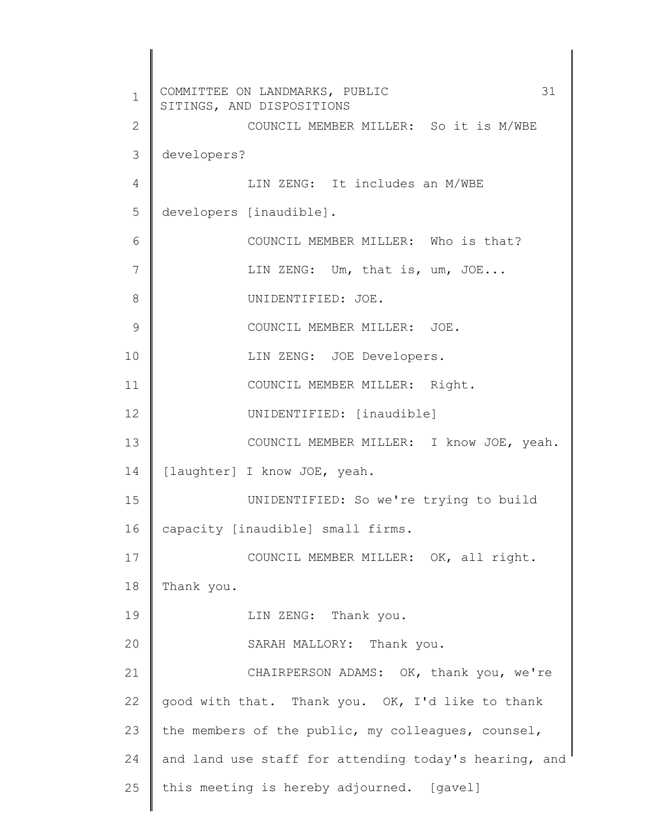1 2 3 4 5 6 7 8 9 10 11 12 13 14 15 16 17 18 19 20 21 22 23 24 25 COMMITTEE ON LANDMARKS, PUBLIC 31 SITINGS, AND DISPOSITIONS COUNCIL MEMBER MILLER: So it is M/WBE developers? LIN ZENG: It includes an M/WBE developers [inaudible]. COUNCIL MEMBER MILLER: Who is that? LIN ZENG: Um, that is, um, JOE... UNIDENTIFIED: JOE. COUNCIL MEMBER MILLER: JOE. LIN ZENG: JOE Developers. COUNCIL MEMBER MILLER: Right. UNIDENTIFIED: [inaudible] COUNCIL MEMBER MILLER: I know JOE, yeah. [laughter] I know JOE, yeah. UNIDENTIFIED: So we're trying to build capacity [inaudible] small firms. COUNCIL MEMBER MILLER: OK, all right. Thank you. LIN ZENG: Thank you. SARAH MALLORY: Thank you. CHAIRPERSON ADAMS: OK, thank you, we're good with that. Thank you. OK, I'd like to thank the members of the public, my colleagues, counsel, and land use staff for attending today's hearing, and this meeting is hereby adjourned. [gavel]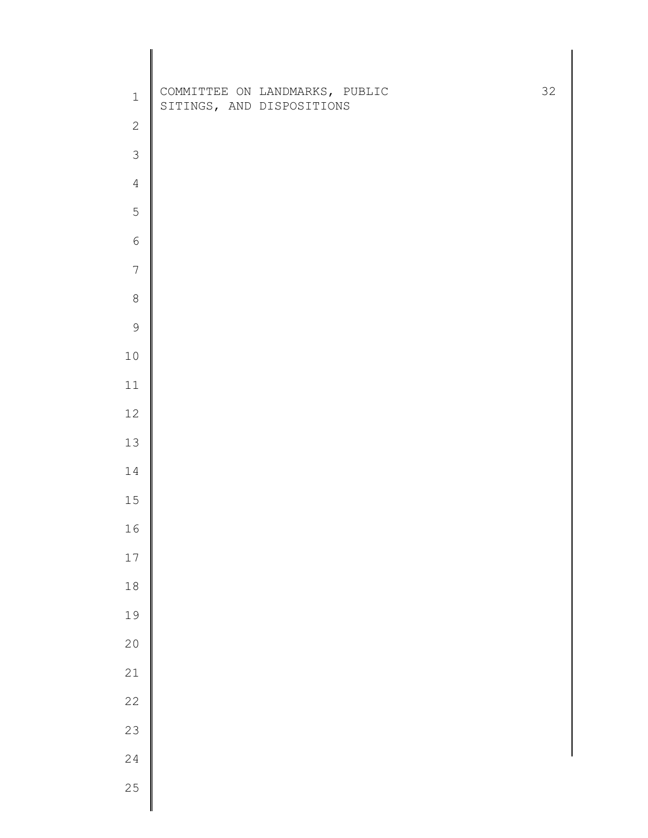| $\mathbf 1$    | COMMITTEE ON LANDMARKS, PUBLIC<br>SITINGS, AND DISPOSITIONS | 32 |
|----------------|-------------------------------------------------------------|----|
| $\sqrt{2}$     |                                                             |    |
| $\mathfrak{Z}$ |                                                             |    |
| $\sqrt{4}$     |                                                             |    |
| 5              |                                                             |    |
| $\sqrt{6}$     |                                                             |    |
| $\overline{7}$ |                                                             |    |
| $\,8\,$        |                                                             |    |
| $\mathcal{G}$  |                                                             |    |
| $10\,$         |                                                             |    |
| $11\,$         |                                                             |    |
| $12\,$         |                                                             |    |
| $13$           |                                                             |    |
| $14\,$         |                                                             |    |
| $15\,$         |                                                             |    |
| $16\,$         |                                                             |    |
| $17$           |                                                             |    |
| $18\,$         |                                                             |    |
| 19             |                                                             |    |
| 20             |                                                             |    |
| 21             |                                                             |    |
| 22             |                                                             |    |
| 23             |                                                             |    |
| 24             |                                                             |    |
| 25             |                                                             |    |